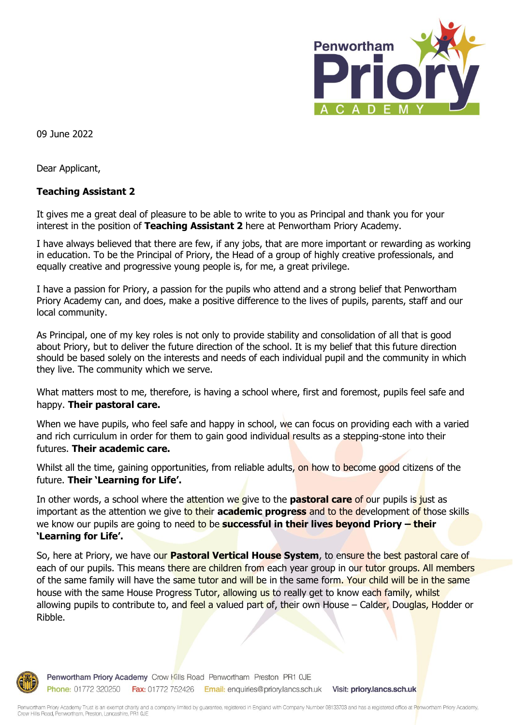

09 June 2022

Dear Applicant,

## **Teaching Assistant 2**

It gives me a great deal of pleasure to be able to write to you as Principal and thank you for your interest in the position of **Teaching Assistant 2** here at Penwortham Priory Academy.

I have always believed that there are few, if any jobs, that are more important or rewarding as working in education. To be the Principal of Priory, the Head of a group of highly creative professionals, and equally creative and progressive young people is, for me, a great privilege.

I have a passion for Priory, a passion for the pupils who attend and a strong belief that Penwortham Priory Academy can, and does, make a positive difference to the lives of pupils, parents, staff and our local community.

As Principal, one of my key roles is not only to provide stability and consolidation of all that is good about Priory, but to deliver the future direction of the school. It is my belief that this future direction should be based solely on the interests and needs of each individual pupil and the community in which they live. The community which we serve.

What matters most to me, therefore, is having a school where, first and foremost, pupils feel safe and happy. **Their pastoral care.**

When we have pupils, who feel safe and happy in school, we can focus on providing each with a varied and rich curriculum in order for them to gain good individual results as a stepping-stone into their futures. **Their academic care.**

Whilst all the time, gaining opportunities, from reliable adults, on how to become good citizens of the future. **Their 'Learning for Life'.**

In other words, a school where the attention we give to the **pastoral care** of our pupils is just as important as the attention we give to their **academic progress** and to the development of those skills we know our pupils are going to need to be **successful in their lives beyond Priory – their 'Learning for Life'.**

So, here at Priory, we have our **Pastoral Vertical House System**, to ensure the best pastoral care of each of our pupils. This means there are children from each year group in our tutor groups. All members of the same family will have the same tutor and will be in the same form. Your child will be in the same house with the same House Progress Tutor, allowing us to really get to know each family, whilst allowing pupils to contribute to, and feel a valued part of, their own House – Calder, Douglas, Hodder or Ribble.



Penwortham Priory Academy Crow Kills Road Penwortham Preston PR1 OJE Phone: 01772 320250 Fax: 01772 752426 Email: enquiries@priory.lancs.sch.uk Visit: priory.lancs.sch.uk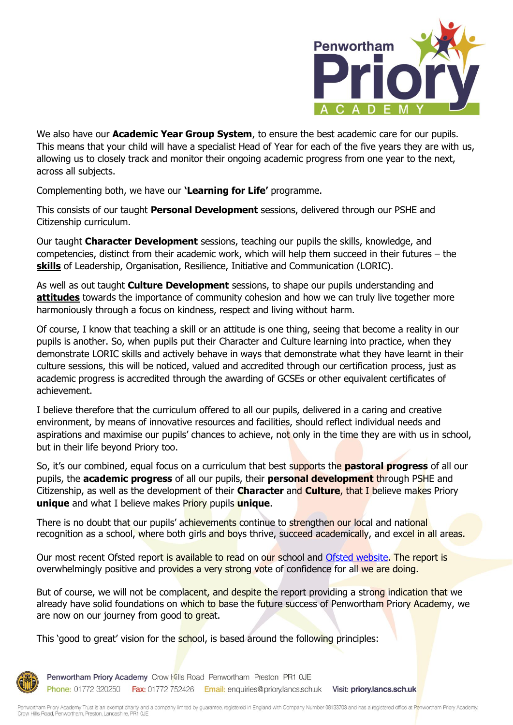

We also have our **Academic Year Group System**, to ensure the best academic care for our pupils. This means that your child will have a specialist Head of Year for each of the five years they are with us, allowing us to closely track and monitor their ongoing academic progress from one year to the next, across all subjects.

Complementing both, we have our **'Learning for Life'** programme.

This consists of our taught **Personal Development** sessions, delivered through our PSHE and Citizenship curriculum.

Our taught **Character Development** sessions, teaching our pupils the skills, knowledge, and competencies, distinct from their academic work, which will help them succeed in their futures – the **skills** of Leadership, Organisation, Resilience, Initiative and Communication (LORIC).

As well as out taught **Culture Development** sessions, to shape our pupils understanding and **attitudes** towards the importance of community cohesion and how we can truly live together more harmoniously through a focus on kindness, respect and living without harm.

Of course, I know that teaching a skill or an attitude is one thing, seeing that become a reality in our pupils is another. So, when pupils put their Character and Culture learning into practice, when they demonstrate LORIC skills and actively behave in ways that demonstrate what they have learnt in their culture sessions, this will be noticed, valued and accredited through our certification process, just as academic progress is accredited through the awarding of GCSEs or other equivalent certificates of achievement.

I believe therefore that the curriculum offered to all our pupils, delivered in a caring and creative environment, by means of innovative resources and facilities, should reflect individual needs and aspirations and maximise our pupils' chances to achieve, not only in the time they are with us in school, but in their life beyond Priory too.

So, it's our combined, equal focus on a curriculum that best supports the **pastoral progress** of all our pupils, the **academic progress** of all our pupils, their **personal development** through PSHE and Citizenship, as well as the development of their **Character** and **Culture**, that I believe makes Priory **unique** and what I believe makes Priory pupils **unique**.

There is no doubt that our pupils' achievements continue to strengthen our local and national recognition as a school, where both girls and boys thrive, succeed academically, and excel in all areas.

Our most recent Ofsted report is available to read on our school and [Ofsted website.](https://reports.ofsted.gov.uk/provider/23/138948) The report is overwhelmingly positive and provides a very strong vote of confidence for all we are doing.

But of course, we will not be complacent, and despite the report providing a strong indication that we already have solid foundations on which to base the future success of Penwortham Priory Academy, we are now on our journey from good to great.

This 'good to great' vision for the school, is based around the following principles:



Penwortham Priory Academy Crow Kills Road Penwortham Preston PR1 OJE Phone: 01772 320250 Fax: 01772 752426 Email: enquiries@priory.lancs.sch.uk Visit: priory.lancs.sch.uk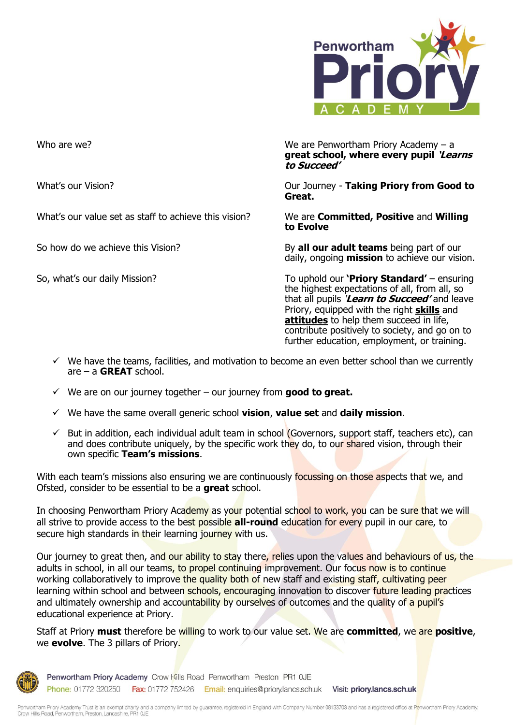

What's our value set as staff to achieve this vision? We are **Committed, Positive** and **Willing** 

Who are we? Note as the Matter of the Matter of the We are Penwortham Priory Academy – a **great school, where every pupil 'Learns to Succeed'**

What's our Vision? Our Journey - **Taking Priory from Good to Great.**

**to Evolve**

So how do we achieve this Vision? By **all our adult teams** being part of our daily, ongoing **mission** to achieve our vision.

So, what's our daily Mission? To uphold our **'Priory Standard'** – ensuring the highest expectations of all, from all, so that all pupils '**Learn to Succeed'** and leave Priory, equipped with the right **skills** and **attitudes** to help them succeed in life, contribute positively to society, and go on to further education, employment, or training.

- $\checkmark$  We have the teams, facilities, and motivation to become an even better school than we currently are – a **GREAT** school.
- $\checkmark$  We are on our journey together our journey from **good to great.**
- ✓ We have the same overall generic school **vision**, **value set** and **daily mission**.
- $\checkmark$  But in addition, each individual adult team in school (Governors, support staff, teachers etc), can and does contribute uniquely, by the specific work they do, to our shared vision, through their own specific **Team's missions**.

With each team's missions also ensuring we are continuously focussing on those aspects that we, and Ofsted, consider to be essential to be a **great** school.

In choosing Penwortham Priory Academy as your potential school to work, you can be sure that we will all strive to provide access to the best possible **all-round** education for every pupil in our care, to secure high standards in their learning journey with us.

Our journey to great then, and our ability to stay there, relies upon the values and behaviours of us, the adults in school, in all our teams, to propel continuing improvement. Our focus now is to continue working collaboratively to improve the quality both of new staff and existing staff, cultivating peer learning within school and between schools, encouraging innovation to discover future leading practices and ultimately ownership and accountability by ourselves of outcomes and the quality of a pupil's educational experience at Priory.

Staff at Priory **must** therefore be willing to work to our value set. We are **committed**, we are **positive**, we **evolve**. The 3 pillars of Priory.



Penwortham Priory Academy Crow Kills Road Penwortham Preston PR1 OJE Phone: 01772 320250 Fax: 01772 752426 Email: enquiries@priory.lancs.sch.uk Visit: priory.lancs.sch.uk